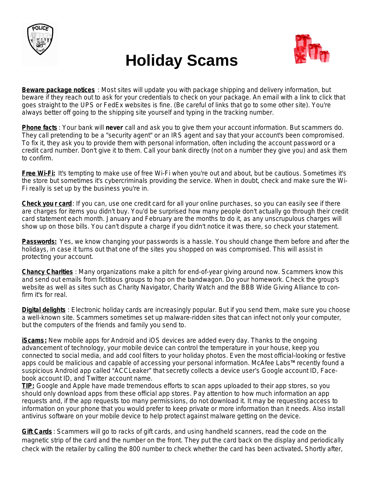

## **Holiday Scams**



**Beware package notices** : Most sites will update you with package shipping and delivery information, but beware if they reach out to ask for your credentials to check on your package. An email with a link to click that goes straight to the UPS or FedEx websites is fine. (Be careful of links that go to some other site). You're always better off going to the shipping site yourself and typing in the tracking number.

**Phone facts** : Your bank will **never** call and ask you to give them your account information. But scammers do. They call pretending to be a "security agent" or an IRS agent and say that your account's been compromised. To fix it, they ask you to provide them with personal information, often including the account password or a credit card number. Don't give it to them. Call your bank directly (not on a number they give you) and ask them to confirm.

**Free Wi-Fi:** It's tempting to make use of free Wi-Fi when you're out and about, but be cautious. Sometimes it's the store but sometimes it's cybercriminals providing the service. When in doubt, check and make sure the Wi-Fi really is set up by the business you're in.

**Check you r card**: If you can, use one credit card for all your online purchases, so you can easily see if there are charges for items you didn't buy. You'd be surprised how many people don't actually go through their credit card statement each month. January and February are the months to do it, as any unscrupulous charges will show up on those bills. You can't dispute a charge if you didn't notice it was there, so check your statement.

**Passwords:** Yes, we know changing your passwords is a hassle. You should change them before and after the holidays, in case it turns out that one of the sites you shopped on was compromised. This will assist in protecting your account.

**Chancy Charities** : Many organizations make a pitch for end-of-year giving around now. Scammers know this and send out emails from fictitious groups to hop on the bandwagon. Do your homework. Check the group's website as well as sites such as Charity Navigator, Charity Watch and the BBB Wide Giving Alliance to confirm it's for real.

**Digital delights** : Electronic holiday cards are increasingly popular. But if you send them, make sure you choose a well-known site. Scammers sometimes set up malware-ridden sites that can infect not only your computer, but the computers of the friends and family you send to.

**iScams:** New mobile apps for Android and iOS devices are added every day. Thanks to the ongoing advancement of technology, your mobile device can control the temperature in your house, keep you connected to social media, and add cool filters to your holiday photos. Even the most official-looking or festive apps could be malicious and capable of accessing your personal information. McAfee Labs™ recently found a suspicious Android app called "ACCLeaker" that secretly collects a device user's Google account ID, Facebook account ID, and Twitter account name.

*TIP:* Google and Apple have made tremendous efforts to scan apps uploaded to their app stores, so you should only download apps from these official app stores. Pay attention to how much information an app requests and, if the app requests too many permissions, do not download it. It may be requesting access to information on your phone that you would prefer to keep private or more information than it needs. Also install antivirus software on your mobile device to help protect against malware getting on the device.

**Gift Cards** : Scammers will go to racks of gift cards, and using handheld scanners, read the code on the magnetic strip of the card and the number on the front. They put the card back on the display and periodically check with the retailer by calling the 800 number to check whether the card has been activated**.** Shortly after,